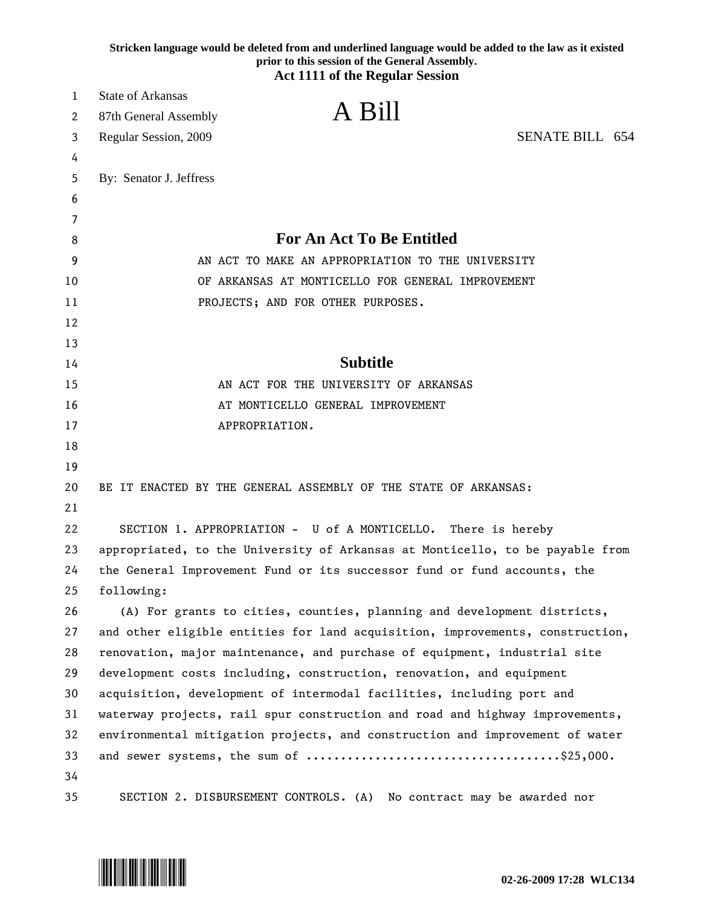|    | Stricken language would be deleted from and underlined language would be added to the law as it existed<br>prior to this session of the General Assembly.<br><b>Act 1111 of the Regular Session</b> |  |
|----|-----------------------------------------------------------------------------------------------------------------------------------------------------------------------------------------------------|--|
| 1  | <b>State of Arkansas</b>                                                                                                                                                                            |  |
| 2  | A Bill<br>87th General Assembly                                                                                                                                                                     |  |
| 3  | <b>SENATE BILL 654</b><br>Regular Session, 2009                                                                                                                                                     |  |
| 4  |                                                                                                                                                                                                     |  |
| 5  | By: Senator J. Jeffress                                                                                                                                                                             |  |
| 6  |                                                                                                                                                                                                     |  |
| 7  |                                                                                                                                                                                                     |  |
| 8  | <b>For An Act To Be Entitled</b>                                                                                                                                                                    |  |
| 9  | AN ACT TO MAKE AN APPROPRIATION TO THE UNIVERSITY                                                                                                                                                   |  |
| 10 | OF ARKANSAS AT MONTICELLO FOR GENERAL IMPROVEMENT                                                                                                                                                   |  |
| 11 | PROJECTS; AND FOR OTHER PURPOSES.                                                                                                                                                                   |  |
| 12 |                                                                                                                                                                                                     |  |
| 13 |                                                                                                                                                                                                     |  |
| 14 | <b>Subtitle</b>                                                                                                                                                                                     |  |
| 15 | AN ACT FOR THE UNIVERSITY OF ARKANSAS                                                                                                                                                               |  |
| 16 | AT MONTICELLO GENERAL IMPROVEMENT                                                                                                                                                                   |  |
| 17 | APPROPRIATION.                                                                                                                                                                                      |  |
| 18 |                                                                                                                                                                                                     |  |
| 19 |                                                                                                                                                                                                     |  |
| 20 | BE IT ENACTED BY THE GENERAL ASSEMBLY OF THE STATE OF ARKANSAS:                                                                                                                                     |  |
| 21 |                                                                                                                                                                                                     |  |
| 22 | SECTION 1. APPROPRIATION - U of A MONTICELLO. There is hereby                                                                                                                                       |  |
| 23 | appropriated, to the University of Arkansas at Monticello, to be payable from                                                                                                                       |  |
| 24 | the General Improvement Fund or its successor fund or fund accounts, the                                                                                                                            |  |
| 25 | following:                                                                                                                                                                                          |  |
| 26 | (A) For grants to cities, counties, planning and development districts,                                                                                                                             |  |
| 27 | and other eligible entities for land acquisition, improvements, construction,                                                                                                                       |  |
| 28 | renovation, major maintenance, and purchase of equipment, industrial site                                                                                                                           |  |
| 29 | development costs including, construction, renovation, and equipment                                                                                                                                |  |
| 30 | acquisition, development of intermodal facilities, including port and                                                                                                                               |  |
| 31 | waterway projects, rail spur construction and road and highway improvements,                                                                                                                        |  |
| 32 | environmental mitigation projects, and construction and improvement of water                                                                                                                        |  |
| 33 |                                                                                                                                                                                                     |  |
| 34 |                                                                                                                                                                                                     |  |
| 35 | SECTION 2. DISBURSEMENT CONTROLS. (A) No contract may be awarded nor                                                                                                                                |  |

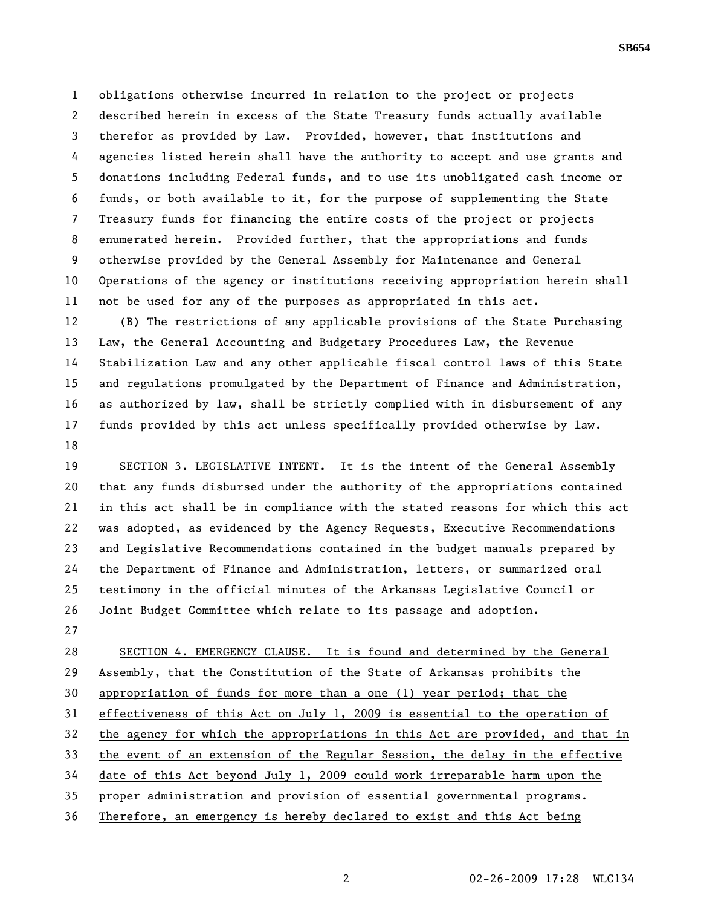1 obligations otherwise incurred in relation to the project or projects 2 described herein in excess of the State Treasury funds actually available 3 therefor as provided by law. Provided, however, that institutions and 4 agencies listed herein shall have the authority to accept and use grants and 5 donations including Federal funds, and to use its unobligated cash income or 6 funds, or both available to it, for the purpose of supplementing the State 7 Treasury funds for financing the entire costs of the project or projects 8 enumerated herein. Provided further, that the appropriations and funds 9 otherwise provided by the General Assembly for Maintenance and General 10 Operations of the agency or institutions receiving appropriation herein shall 11 not be used for any of the purposes as appropriated in this act.

12 (B) The restrictions of any applicable provisions of the State Purchasing 13 Law, the General Accounting and Budgetary Procedures Law, the Revenue 14 Stabilization Law and any other applicable fiscal control laws of this State 15 and regulations promulgated by the Department of Finance and Administration, 16 as authorized by law, shall be strictly complied with in disbursement of any 17 funds provided by this act unless specifically provided otherwise by law. 18

19 SECTION 3. LEGISLATIVE INTENT. It is the intent of the General Assembly 20 that any funds disbursed under the authority of the appropriations contained 21 in this act shall be in compliance with the stated reasons for which this act 22 was adopted, as evidenced by the Agency Requests, Executive Recommendations 23 and Legislative Recommendations contained in the budget manuals prepared by 24 the Department of Finance and Administration, letters, or summarized oral 25 testimony in the official minutes of the Arkansas Legislative Council or 26 Joint Budget Committee which relate to its passage and adoption.

27

28 SECTION 4. EMERGENCY CLAUSE. It is found and determined by the General 29 Assembly, that the Constitution of the State of Arkansas prohibits the 30 appropriation of funds for more than a one (1) year period; that the 31 effectiveness of this Act on July 1, 2009 is essential to the operation of 32 the agency for which the appropriations in this Act are provided, and that in 33 the event of an extension of the Regular Session, the delay in the effective 34 date of this Act beyond July 1, 2009 could work irreparable harm upon the 35 proper administration and provision of essential governmental programs. 36 Therefore, an emergency is hereby declared to exist and this Act being